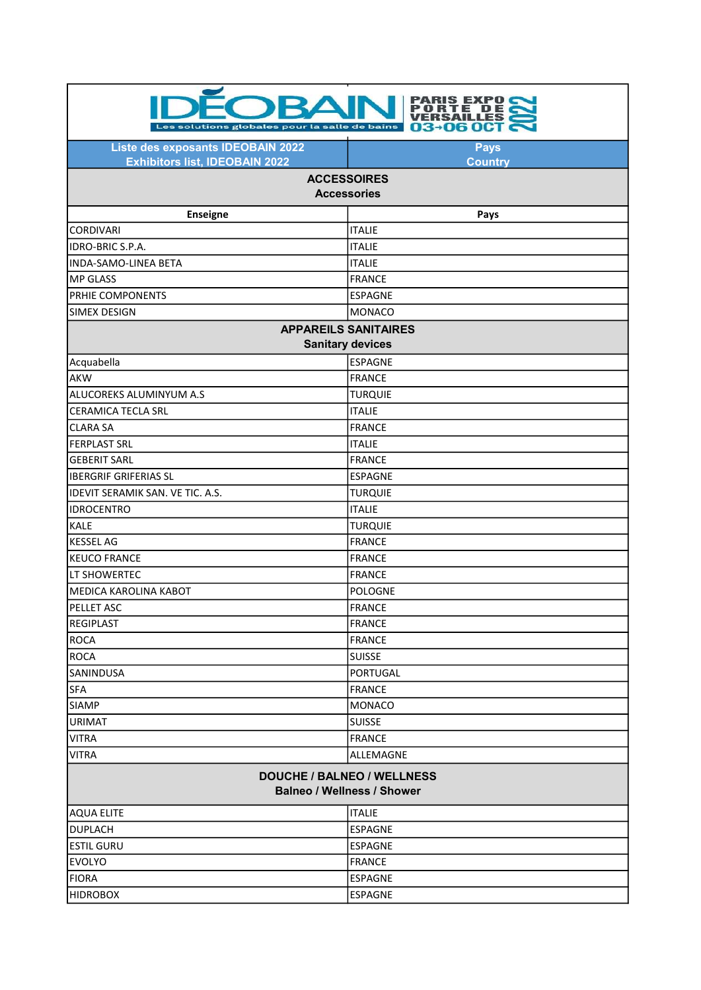| EXPO (<br>RZ                                                           |                 |  |
|------------------------------------------------------------------------|-----------------|--|
| Les solutions globales pour la salle de bains                          | 3-06 OCT        |  |
| <b>Liste des exposants IDEOBAIN 2022</b>                               | <b>Pays</b>     |  |
| <b>Exhibitors list, IDEOBAIN 2022</b>                                  | <b>Country</b>  |  |
| <b>ACCESSOIRES</b><br><b>Accessories</b>                               |                 |  |
| <b>Enseigne</b>                                                        | Pays            |  |
| <b>CORDIVARI</b>                                                       | <b>ITALIE</b>   |  |
| IDRO-BRIC S.P.A.                                                       | <b>ITALIE</b>   |  |
| <b>INDA-SAMO-LINEA BETA</b>                                            | <b>ITALIE</b>   |  |
| <b>MP GLASS</b>                                                        | FRANCE          |  |
| PRHIE COMPONENTS                                                       | <b>ESPAGNE</b>  |  |
| <b>SIMEX DESIGN</b>                                                    | <b>MONACO</b>   |  |
| <b>APPAREILS SANITAIRES</b>                                            |                 |  |
| <b>Sanitary devices</b>                                                |                 |  |
| Acquabella                                                             | <b>ESPAGNE</b>  |  |
| <b>AKW</b>                                                             | FRANCE          |  |
| <b>ALUCOREKS ALUMINYUM A.S</b>                                         | <b>TURQUIE</b>  |  |
| <b>CERAMICA TECLA SRL</b>                                              | <b>ITALIE</b>   |  |
| <b>CLARA SA</b>                                                        | FRANCE          |  |
| <b>FERPLAST SRL</b>                                                    | <b>ITALIE</b>   |  |
| <b>GEBERIT SARL</b>                                                    | <b>FRANCE</b>   |  |
| <b>IBERGRIF GRIFERIAS SL</b>                                           | <b>ESPAGNE</b>  |  |
| IDEVIT SERAMIK SAN. VE TIC. A.S.                                       | <b>TURQUIE</b>  |  |
| <b>IDROCENTRO</b>                                                      | <b>ITALIE</b>   |  |
| <b>KALE</b>                                                            | <b>TURQUIE</b>  |  |
| <b>KESSEL AG</b>                                                       | <b>FRANCE</b>   |  |
| <b>KEUCO FRANCE</b>                                                    | <b>FRANCE</b>   |  |
| LT SHOWERTEC                                                           | <b>FRANCE</b>   |  |
| MEDICA KAROLINA KABOT                                                  | <b>POLOGNE</b>  |  |
| <b>PELLET ASC</b>                                                      | FRANCE          |  |
| <b>REGIPLAST</b>                                                       | <b>FRANCE</b>   |  |
| <b>ROCA</b>                                                            | FRANCE          |  |
| <b>ROCA</b>                                                            | <b>SUISSE</b>   |  |
| SANINDUSA                                                              | <b>PORTUGAL</b> |  |
| <b>SFA</b>                                                             | <b>FRANCE</b>   |  |
| <b>SIAMP</b>                                                           | <b>MONACO</b>   |  |
| <b>URIMAT</b>                                                          | <b>SUISSE</b>   |  |
| <b>VITRA</b>                                                           | <b>FRANCE</b>   |  |
| <b>VITRA</b>                                                           | ALLEMAGNE       |  |
| <b>DOUCHE / BALNEO / WELLNESS</b><br><b>Balneo / Wellness / Shower</b> |                 |  |
| <b>AQUA ELITE</b>                                                      | <b>ITALIE</b>   |  |
| <b>DUPLACH</b>                                                         | <b>ESPAGNE</b>  |  |
| <b>ESTIL GURU</b>                                                      | ESPAGNE         |  |
| <b>EVOLYO</b>                                                          | <b>FRANCE</b>   |  |
| <b>FIORA</b>                                                           | <b>ESPAGNE</b>  |  |
| <b>HIDROBOX</b>                                                        | <b>ESPAGNE</b>  |  |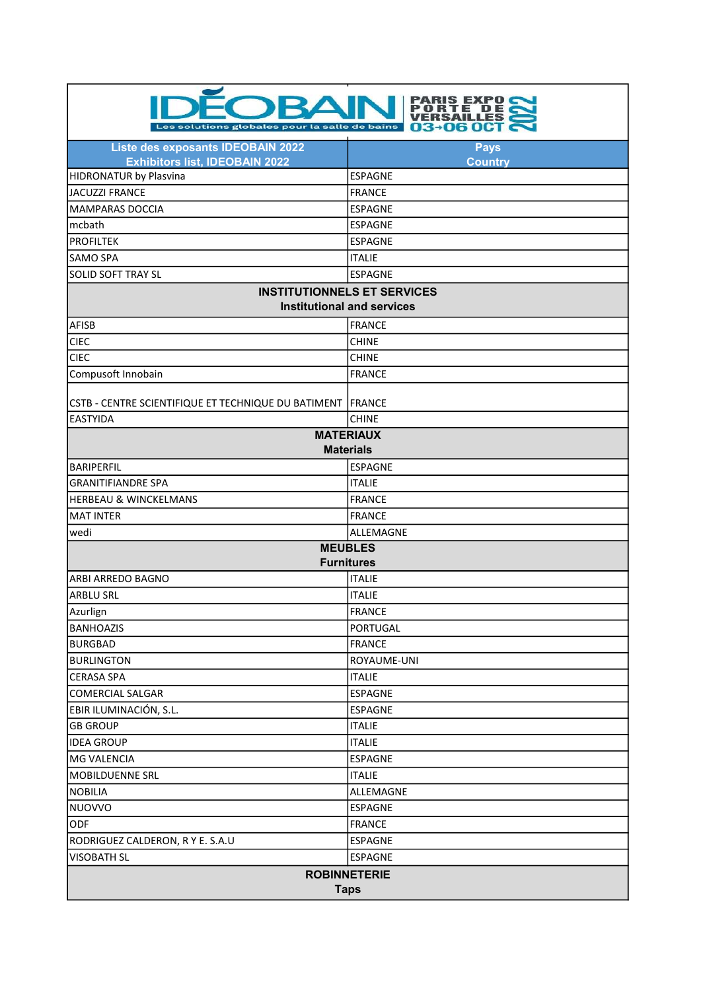| EXPO<br>D E<br>LES:<br>Les solutions globales pour la salle de bains<br>03-06 OCT |                                  |  |
|-----------------------------------------------------------------------------------|----------------------------------|--|
| Liste des exposants IDEOBAIN 2022                                                 | <b>Pays</b>                      |  |
| <b>Exhibitors list, IDEOBAIN 2022</b><br>HIDRONATUR by Plasvina                   | <b>Country</b><br><b>ESPAGNE</b> |  |
| <b>JACUZZI FRANCE</b>                                                             | <b>FRANCE</b>                    |  |
| <b>MAMPARAS DOCCIA</b>                                                            | <b>ESPAGNE</b>                   |  |
| mcbath                                                                            | <b>ESPAGNE</b>                   |  |
| <b>PROFILTEK</b>                                                                  | <b>ESPAGNE</b>                   |  |
| <b>SAMO SPA</b>                                                                   | <b>ITALIE</b>                    |  |
| SOLID SOFT TRAY SL                                                                | <b>ESPAGNE</b>                   |  |
|                                                                                   |                                  |  |
| <b>INSTITUTIONNELS ET SERVICES</b><br><b>Institutional and services</b>           |                                  |  |
| AFISB                                                                             | <b>FRANCE</b>                    |  |
| <b>CIEC</b>                                                                       | <b>CHINE</b>                     |  |
| <b>CIEC</b>                                                                       | <b>CHINE</b>                     |  |
| Compusoft Innobain                                                                | <b>FRANCE</b>                    |  |
| CSTB - CENTRE SCIENTIFIQUE ET TECHNIQUE DU BATIMENT                               | FRANCE                           |  |
| <b>EASTYIDA</b>                                                                   | <b>CHINE</b>                     |  |
| <b>MATERIAUX</b><br><b>Materials</b>                                              |                                  |  |
| <b>BARIPERFIL</b>                                                                 | <b>ESPAGNE</b>                   |  |
| <b>GRANITIFIANDRE SPA</b>                                                         | <b>ITALIE</b>                    |  |
| <b>HERBEAU &amp; WINCKELMANS</b>                                                  | <b>FRANCE</b>                    |  |
| <b>MAT INTER</b>                                                                  | <b>FRANCE</b>                    |  |
| wedi                                                                              | ALLEMAGNE                        |  |
| <b>MEUBLES</b>                                                                    |                                  |  |
| <b>Furnitures</b>                                                                 |                                  |  |
| ARBI ARREDO BAGNO                                                                 | <b>ITALIE</b>                    |  |
| <b>ARBLU SRL</b>                                                                  | <b>ITALIE</b>                    |  |
| Azurlign                                                                          | <b>FRANCE</b>                    |  |
| <b>BANHOAZIS</b>                                                                  | PORTUGAL                         |  |
| <b>BURGBAD</b>                                                                    | <b>FRANCE</b>                    |  |
| <b>BURLINGTON</b>                                                                 | ROYAUME-UNI                      |  |
| <b>CERASA SPA</b>                                                                 | <b>ITALIE</b>                    |  |
| COMERCIAL SALGAR                                                                  | ESPAGNE                          |  |
| EBIR ILUMINACIÓN, S.L.                                                            | ESPAGNE                          |  |
| <b>GB GROUP</b>                                                                   | <b>ITALIE</b>                    |  |
| <b>IDEA GROUP</b>                                                                 | <b>ITALIE</b>                    |  |
| <b>MG VALENCIA</b>                                                                | ESPAGNE                          |  |
| <b>MOBILDUENNE SRL</b>                                                            | <b>ITALIE</b>                    |  |
| <b>NOBILIA</b>                                                                    | ALLEMAGNE                        |  |
| NUOVVO                                                                            | ESPAGNE                          |  |
| ODF                                                                               | <b>FRANCE</b>                    |  |
| RODRIGUEZ CALDERON, R Y E. S.A.U                                                  | <b>ESPAGNE</b>                   |  |
| <b>VISOBATH SL</b>                                                                | ESPAGNE                          |  |
| <b>ROBINNETERIE</b><br><b>Taps</b>                                                |                                  |  |